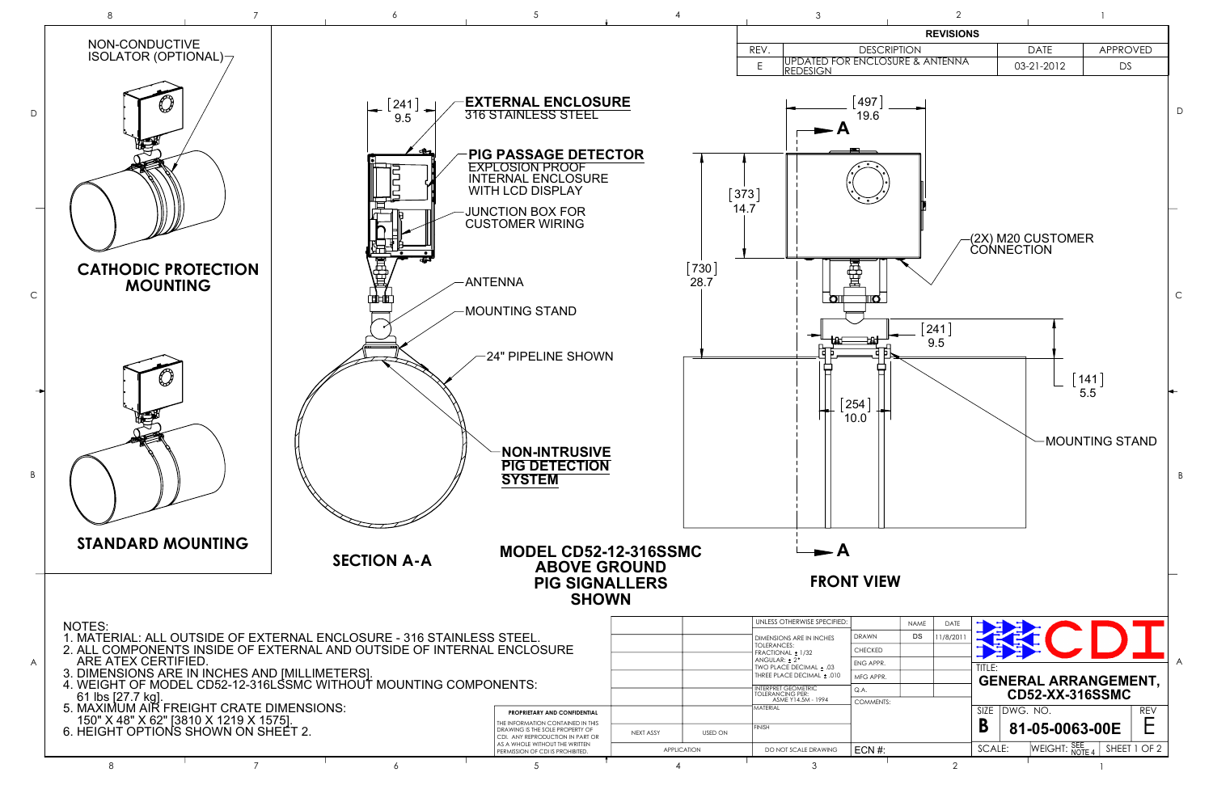